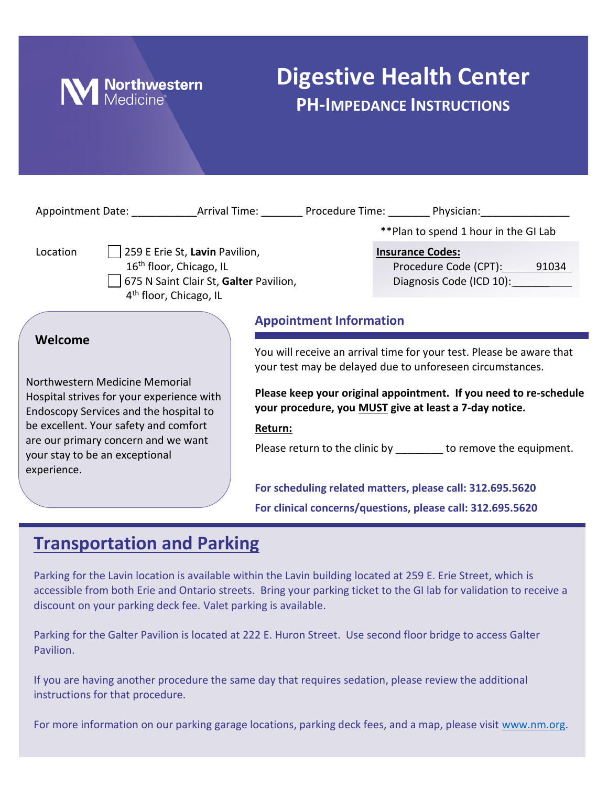

# **Digestive Health Center PH-IMPEDANCE INSTRUCTIONS**

| **Plan to spend 1 hour in the GI Lab<br>259 E Erie St, Lavin Pavilion,<br>Location<br><b>Insurance Codes:</b><br>16 <sup>th</sup> floor, Chicago, IL<br>Procedure Code (CPT): 91034<br>Diagnosis Code (ICD 10):<br>675 N Saint Clair St, Galter Pavilion,<br>4 <sup>th</sup> floor, Chicago, IL<br><b>Appointment Information</b><br>Welcome<br>You will receive an arrival time for your test. Please be aware that<br>your test may be delayed due to unforeseen circumstances.<br>Northwestern Medicine Memorial<br>Please keep your original appointment. If you need to re-schedule<br>Hospital strives for your experience with<br>your procedure, you MUST give at least a 7-day notice.<br>Endoscopy Services and the hospital to<br>be excellent. Your safety and comfort<br>Return:<br>are our primary concern and we want<br>Please return to the clinic by ________ to remove the equipment.<br>your stay to be an exceptional<br>experience.<br>For scheduling related matters, please call: 312.695.5620<br>For clinical concerns/questions, please call: 312.695.5620 |  |  |  |  |  |
|--------------------------------------------------------------------------------------------------------------------------------------------------------------------------------------------------------------------------------------------------------------------------------------------------------------------------------------------------------------------------------------------------------------------------------------------------------------------------------------------------------------------------------------------------------------------------------------------------------------------------------------------------------------------------------------------------------------------------------------------------------------------------------------------------------------------------------------------------------------------------------------------------------------------------------------------------------------------------------------------------------------------------------------------------------------------------------------|--|--|--|--|--|
|                                                                                                                                                                                                                                                                                                                                                                                                                                                                                                                                                                                                                                                                                                                                                                                                                                                                                                                                                                                                                                                                                      |  |  |  |  |  |
|                                                                                                                                                                                                                                                                                                                                                                                                                                                                                                                                                                                                                                                                                                                                                                                                                                                                                                                                                                                                                                                                                      |  |  |  |  |  |
|                                                                                                                                                                                                                                                                                                                                                                                                                                                                                                                                                                                                                                                                                                                                                                                                                                                                                                                                                                                                                                                                                      |  |  |  |  |  |
|                                                                                                                                                                                                                                                                                                                                                                                                                                                                                                                                                                                                                                                                                                                                                                                                                                                                                                                                                                                                                                                                                      |  |  |  |  |  |

## **Transportation and Parking**

Parking for the Lavin location is available within the Lavin building located at 259 E. Erie Street, which is accessible from both Erie and Ontario streets. Bring your parking ticket to the GI lab for validation to receive a discount on your parking deck fee. Valet parking is available.

Parking for the Galter Pavilion is located at 222 E. Huron Street. Use second floor bridge to access Galter Pavilion.

If you are having another procedure the same day that requires sedation, please review the additional instructions for that procedure.

For more information on our parking garage locations, parking deck fees, and a map, please visit [www.nm.org.](http://www.nm.org/)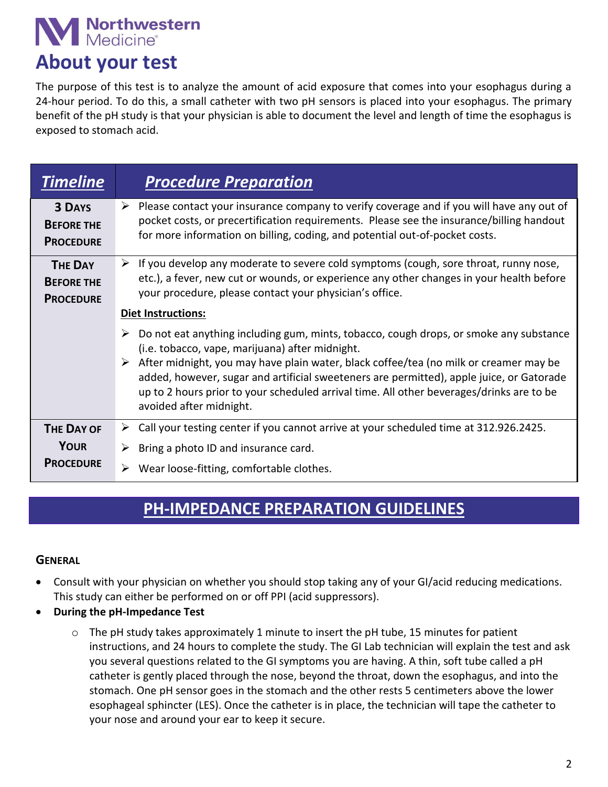# Morthwestern

## **About your test**

The purpose of this test is to analyze the amount of acid exposure that comes into your esophagus during a 24-hour period. To do this, a small catheter with two pH sensors is placed into your esophagus. The primary benefit of the pH study is that your physician is able to document the level and length of time the esophagus is exposed to stomach acid.

| <b>Timeline</b>                                         | <b>Procedure Preparation</b>                                                                                                                                                                                                                                                                                                                                                                                                                                                |
|---------------------------------------------------------|-----------------------------------------------------------------------------------------------------------------------------------------------------------------------------------------------------------------------------------------------------------------------------------------------------------------------------------------------------------------------------------------------------------------------------------------------------------------------------|
| <b>3 DAYS</b><br><b>BEFORE THE</b><br><b>PROCEDURE</b>  | $\triangleright$ Please contact your insurance company to verify coverage and if you will have any out of<br>pocket costs, or precertification requirements. Please see the insurance/billing handout<br>for more information on billing, coding, and potential out-of-pocket costs.                                                                                                                                                                                        |
| <b>THE DAY</b><br><b>BEFORE THE</b><br><b>PROCEDURE</b> | If you develop any moderate to severe cold symptoms (cough, sore throat, runny nose,<br>➤<br>etc.), a fever, new cut or wounds, or experience any other changes in your health before<br>your procedure, please contact your physician's office.                                                                                                                                                                                                                            |
|                                                         | Diet Instructions:<br>Do not eat anything including gum, mints, tobacco, cough drops, or smoke any substance<br>(i.e. tobacco, vape, marijuana) after midnight.<br>After midnight, you may have plain water, black coffee/tea (no milk or creamer may be<br>added, however, sugar and artificial sweeteners are permitted), apple juice, or Gatorade<br>up to 2 hours prior to your scheduled arrival time. All other beverages/drinks are to be<br>avoided after midnight. |
| <b>THE DAY OF</b><br><b>YOUR</b><br><b>PROCEDURE</b>    | Call your testing center if you cannot arrive at your scheduled time at 312.926.2425.<br>➤<br>Bring a photo ID and insurance card.<br>Wear loose-fitting, comfortable clothes.                                                                                                                                                                                                                                                                                              |

### **PH-IMPEDANCE PREPARATION GUIDELINES**

#### **GENERAL**

- Consult with your physician on whether you should stop taking any of your GI/acid reducing medications. This study can either be performed on or off PPI (acid suppressors).
- **During the pH-Impedance Test**
	- $\circ$  The pH study takes approximately 1 minute to insert the pH tube, 15 minutes for patient instructions, and 24 hours to complete the study. The GI Lab technician will explain the test and ask you several questions related to the GI symptoms you are having. A thin, soft tube called a pH catheter is gently placed through the nose, beyond the throat, down the esophagus, and into the stomach. One pH sensor goes in the stomach and the other rests 5 centimeters above the lower esophageal sphincter (LES). Once the catheter is in place, the technician will tape the catheter to your nose and around your ear to keep it secure.